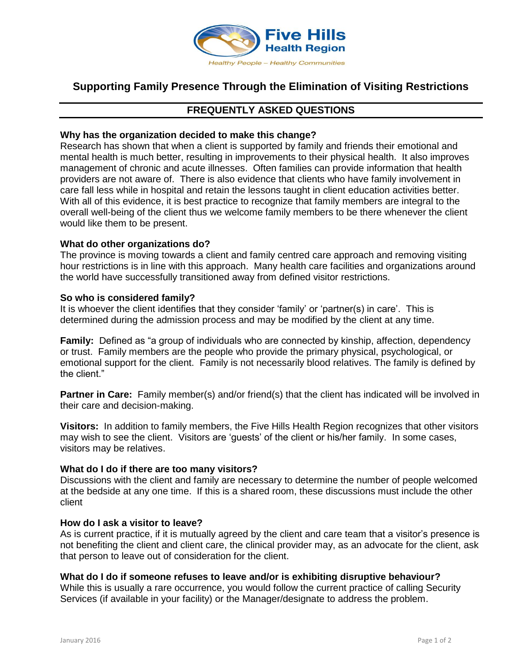

# **Supporting Family Presence Through the Elimination of Visiting Restrictions**

# **FREQUENTLY ASKED QUESTIONS**

# **Why has the organization decided to make this change?**

Research has shown that when a client is supported by family and friends their emotional and mental health is much better, resulting in improvements to their physical health. It also improves management of chronic and acute illnesses. Often families can provide information that health providers are not aware of. There is also evidence that clients who have family involvement in care fall less while in hospital and retain the lessons taught in client education activities better. With all of this evidence, it is best practice to recognize that family members are integral to the overall well-being of the client thus we welcome family members to be there whenever the client would like them to be present.

# **What do other organizations do?**

The province is moving towards a client and family centred care approach and removing visiting hour restrictions is in line with this approach. Many health care facilities and organizations around the world have successfully transitioned away from defined visitor restrictions.

# **So who is considered family?**

It is whoever the client identifies that they consider 'family' or 'partner(s) in care'. This is determined during the admission process and may be modified by the client at any time.

**Family:** Defined as "a group of individuals who are connected by kinship, affection, dependency or trust. Family members are the people who provide the primary physical, psychological, or emotional support for the client. Family is not necessarily blood relatives. The family is defined by the client."

**Partner in Care:** Family member(s) and/or friend(s) that the client has indicated will be involved in their care and decision-making.

**Visitors:** In addition to family members, the Five Hills Health Region recognizes that other visitors may wish to see the client. Visitors are 'guests' of the client or his/her family. In some cases, visitors may be relatives.

### **What do I do if there are too many visitors?**

Discussions with the client and family are necessary to determine the number of people welcomed at the bedside at any one time. If this is a shared room, these discussions must include the other client

### **How do I ask a visitor to leave?**

As is current practice, if it is mutually agreed by the client and care team that a visitor's presence is not benefiting the client and client care, the clinical provider may, as an advocate for the client, ask that person to leave out of consideration for the client.

### **What do I do if someone refuses to leave and/or is exhibiting disruptive behaviour?**

While this is usually a rare occurrence, you would follow the current practice of calling Security Services (if available in your facility) or the Manager/designate to address the problem.